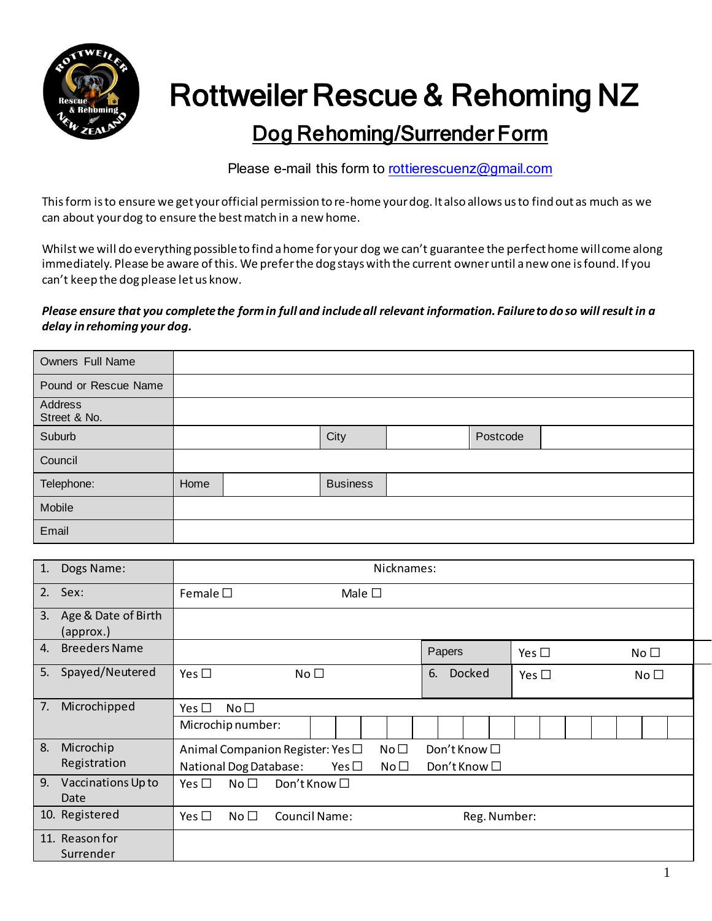

## Rottweiler Rescue & Rehoming NZ

## Dog Rehoming/Surrender Form

Please e-mail this form t[o rottierescuenz@gmail.com](mailto:rottierescuenz@gmail.com)

This form is to ensure we get your official permission to re-home your dog. It also allows us to find out as much as we can about your dog to ensure the best match in a new home.

Whilst we will do everything possible to find a home for your dog we can't guarantee the perfect home will come along immediately. Please be aware of this. We prefer the dog stays with the current owner until a new one is found. If you can't keep the dog please let us know.

## *Please ensure that you complete the form in full and include all relevant information. Failure to do so will result in a delay in rehoming your dog.*

| Owners Full Name        |      |                 |          |  |
|-------------------------|------|-----------------|----------|--|
| Pound or Rescue Name    |      |                 |          |  |
| Address<br>Street & No. |      |                 |          |  |
| Suburb                  |      | City            | Postcode |  |
| Council                 |      |                 |          |  |
| Telephone:              | Home | <b>Business</b> |          |  |
| Mobile                  |      |                 |          |  |
| Email                   |      |                 |          |  |

| 1. | Dogs Name:                       | Nicknames:                                                        |                                      |                 |  |  |  |
|----|----------------------------------|-------------------------------------------------------------------|--------------------------------------|-----------------|--|--|--|
| 2. | Sex:                             | Female $\square$<br>Male $\square$                                |                                      |                 |  |  |  |
| 3. | Age & Date of Birth<br>(approx.) |                                                                   |                                      |                 |  |  |  |
| 4. | <b>Breeders Name</b>             |                                                                   | Papers<br>Yes $\square$              | No <sub>1</sub> |  |  |  |
| 5. | Spayed/Neutered                  | Yes $\square$<br>No <sub>1</sub>                                  | <b>Docked</b><br>6.<br>Yes $\square$ | No <sub>1</sub> |  |  |  |
| 7. | Microchipped                     | Yes $\square$<br>No <sub>1</sub>                                  |                                      |                 |  |  |  |
|    |                                  | Microchip number:                                                 |                                      |                 |  |  |  |
| 8. | Microchip                        | No <sub>1</sub><br>Animal Companion Register: Yes $\Box$          | Don't Know $\Box$                    |                 |  |  |  |
|    | Registration                     | <b>National Dog Database:</b><br>No <sub>1</sub><br>Yes $\square$ | Don't Know □                         |                 |  |  |  |
| 9. | Vaccinations Up to               | Don't Know □<br>Yes $\Box$<br>No <sub>1</sub>                     |                                      |                 |  |  |  |
|    | Date                             |                                                                   |                                      |                 |  |  |  |
|    | 10. Registered                   | Yes $\Box$<br>No <sub>1</sub><br>Council Name:                    | Reg. Number:                         |                 |  |  |  |
|    | 11. Reason for                   |                                                                   |                                      |                 |  |  |  |
|    | Surrender                        |                                                                   |                                      |                 |  |  |  |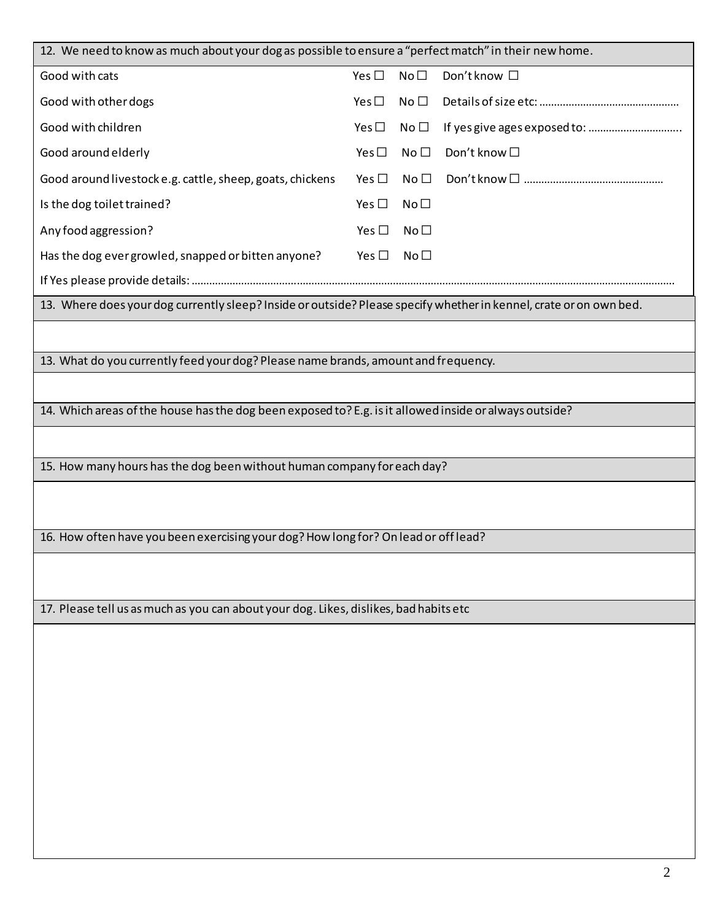| 12. We need to know as much about your dog as possible to ensure a "perfect match" in their new home.              |               |                 |              |  |  |
|--------------------------------------------------------------------------------------------------------------------|---------------|-----------------|--------------|--|--|
| Good with cats                                                                                                     | Yes $\square$ | No <sub>1</sub> | Don't know □ |  |  |
| Good with other dogs                                                                                               | Yes $\square$ | No <sub>1</sub> |              |  |  |
| Good with children                                                                                                 | Yes $\square$ | No <sub>1</sub> |              |  |  |
| Good around elderly                                                                                                | Yes $\square$ | No <sub>1</sub> | Don't know □ |  |  |
| Good around livestock e.g. cattle, sheep, goats, chickens                                                          | Yes $\square$ | No <sub>1</sub> |              |  |  |
| Is the dog toilet trained?                                                                                         | Yes $\square$ | No <sub>1</sub> |              |  |  |
| Any food aggression?                                                                                               | Yes $\square$ | No <sub>1</sub> |              |  |  |
| Has the dog ever growled, snapped or bitten anyone?                                                                | Yes $\square$ | No <sub>1</sub> |              |  |  |
|                                                                                                                    |               |                 |              |  |  |
| 13. Where does your dog currently sleep? Inside or outside? Please specify whether in kennel, crate or on own bed. |               |                 |              |  |  |
|                                                                                                                    |               |                 |              |  |  |
| 13. What do you currently feed your dog? Please name brands, amount and frequency.                                 |               |                 |              |  |  |
|                                                                                                                    |               |                 |              |  |  |
| 14. Which areas of the house has the dog been exposed to? E.g. is it allowed inside or always outside?             |               |                 |              |  |  |
|                                                                                                                    |               |                 |              |  |  |
| 15. How many hours has the dog been without human company for each day?                                            |               |                 |              |  |  |
|                                                                                                                    |               |                 |              |  |  |
|                                                                                                                    |               |                 |              |  |  |
| 16. How often have you been exercising your dog? How long for? On lead or off lead?                                |               |                 |              |  |  |
|                                                                                                                    |               |                 |              |  |  |
|                                                                                                                    |               |                 |              |  |  |
| 17. Please tell us as much as you can about your dog. Likes, dislikes, bad habits etc                              |               |                 |              |  |  |
|                                                                                                                    |               |                 |              |  |  |
|                                                                                                                    |               |                 |              |  |  |
|                                                                                                                    |               |                 |              |  |  |
|                                                                                                                    |               |                 |              |  |  |
|                                                                                                                    |               |                 |              |  |  |
|                                                                                                                    |               |                 |              |  |  |
|                                                                                                                    |               |                 |              |  |  |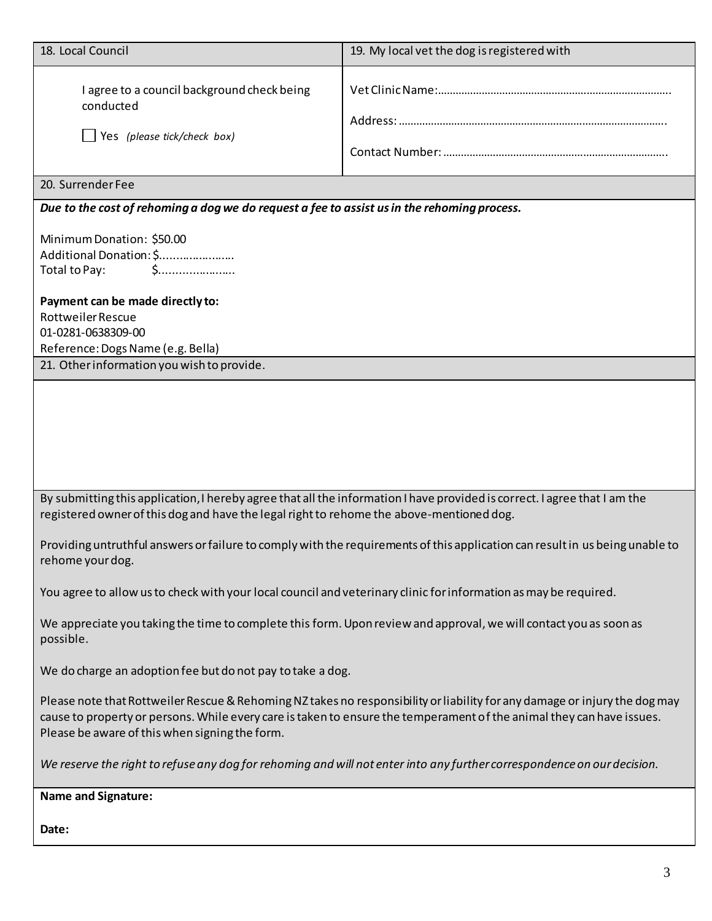| 18. Local Council                                                                                                                                                           | 19. My local vet the dog is registered with                                                                                                                                                                                                         |  |  |  |
|-----------------------------------------------------------------------------------------------------------------------------------------------------------------------------|-----------------------------------------------------------------------------------------------------------------------------------------------------------------------------------------------------------------------------------------------------|--|--|--|
| I agree to a council background check being<br>conducted<br>$\Box$ Yes (please tick/check box)                                                                              |                                                                                                                                                                                                                                                     |  |  |  |
| 20. Surrender Fee                                                                                                                                                           |                                                                                                                                                                                                                                                     |  |  |  |
| Due to the cost of rehoming a dog we do request a fee to assist us in the rehoming process.                                                                                 |                                                                                                                                                                                                                                                     |  |  |  |
| Minimum Donation: \$50.00<br>Additional Donation: \$<br>Total to Pay:<br>$\mathsf{S}$<br>Payment can be made directly to:<br><b>Rottweiler Rescue</b><br>01-0281-0638309-00 |                                                                                                                                                                                                                                                     |  |  |  |
| Reference: Dogs Name (e.g. Bella)<br>21. Other information you wish to provide.                                                                                             |                                                                                                                                                                                                                                                     |  |  |  |
|                                                                                                                                                                             |                                                                                                                                                                                                                                                     |  |  |  |
| registered owner of this dog and have the legal right to rehome the above-mentioned dog.                                                                                    | By submitting this application, I hereby agree that all the information I have provided is correct. I agree that I am the                                                                                                                           |  |  |  |
| rehome your dog.                                                                                                                                                            | Providing untruthful answers or failure to comply with the requirements of this application can result in us being unable to                                                                                                                        |  |  |  |
| You agree to allow us to check with your local council and veterinary clinic for information as may be required.                                                            |                                                                                                                                                                                                                                                     |  |  |  |
| possible.                                                                                                                                                                   | We appreciate you taking the time to complete this form. Upon review and approval, we will contact you as soon as                                                                                                                                   |  |  |  |
| We do charge an adoption fee but do not pay to take a dog.                                                                                                                  |                                                                                                                                                                                                                                                     |  |  |  |
| Please be aware of this when signing the form.                                                                                                                              | Please note that Rottweiler Rescue & Rehoming NZ takes no responsibility or liability for any damage or injury the dog may<br>cause to property or persons. While every care is taken to ensure the temperament of the animal they can have issues. |  |  |  |
| We reserve the right to refuse any dog for rehoming and will not enter into any further correspondence on our decision.                                                     |                                                                                                                                                                                                                                                     |  |  |  |
| <b>Name and Signature:</b>                                                                                                                                                  |                                                                                                                                                                                                                                                     |  |  |  |
| Date:                                                                                                                                                                       |                                                                                                                                                                                                                                                     |  |  |  |